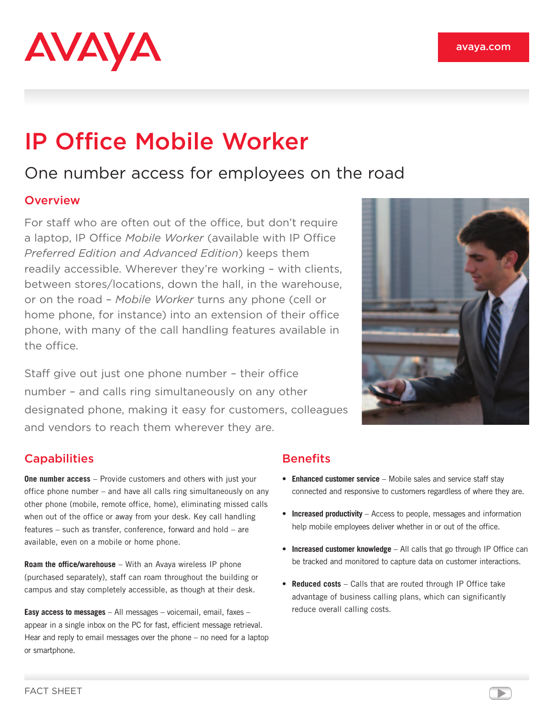

# IP Office Mobile Worker

## One number access for employees on the road

#### **Overview**

For staff who are often out of the office, but don't require a laptop, IP Office *Mobile Worker* (available with IP Office *Preferred Edition and Advanced Edition*) keeps them readily accessible. Wherever they're working – with clients, between stores/locations, down the hall, in the warehouse, or on the road – *Mobile Worker* turns any phone (cell or home phone, for instance) into an extension of their office phone, with many of the call handling features available in the office.

Staff give out just one phone number – their office number – and calls ring simultaneously on any other designated phone, making it easy for customers, colleagues and vendors to reach them wherever they are.



#### **Capabilities**

**One number access** – Provide customers and others with just your office phone number – and have all calls ring simultaneously on any other phone (mobile, remote office, home), eliminating missed calls when out of the office or away from your desk. Key call handling features – such as transfer, conference, forward and hold – are available, even on a mobile or home phone.

**Roam the office/warehouse** – With an Avaya wireless IP phone (purchased separately), staff can roam throughout the building or campus and stay completely accessible, as though at their desk.

**Easy access to messages** – All messages – voicemail, email, faxes – appear in a single inbox on the PC for fast, efficient message retrieval. Hear and reply to email messages over the phone – no need for a laptop or smartphone.

### **Benefits**

- **Enhanced customer service** Mobile sales and service staff stay connected and responsive to customers regardless of where they are.
- **Increased productivity** Access to people, messages and information help mobile employees deliver whether in or out of the office.
- **Increased customer knowledge** All calls that go through IP Office can be tracked and monitored to capture data on customer interactions.
- **Reduced costs** Calls that are routed through IP Office take advantage of business calling plans, which can significantly reduce overall calling costs.